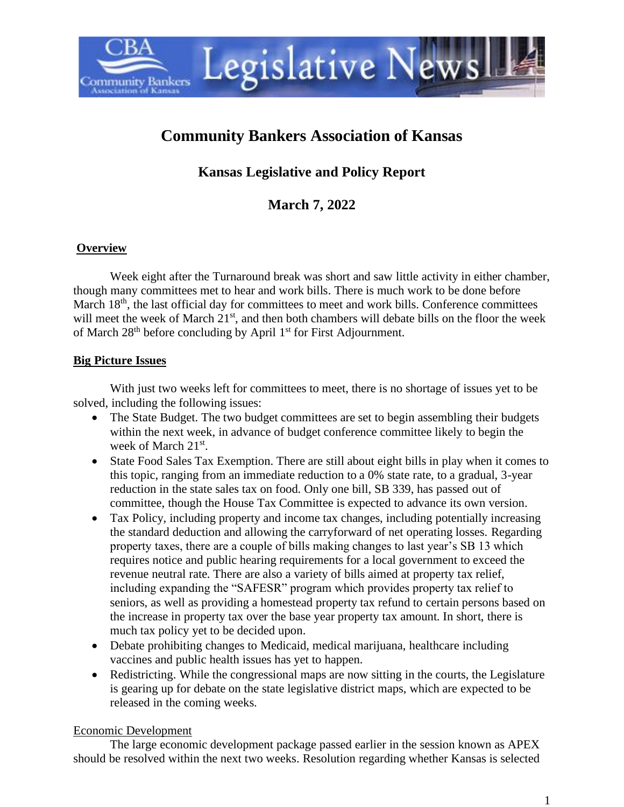

# **Community Bankers Association of Kansas**

**Kansas Legislative and Policy Report**

**March 7, 2022**

### **Overview**

Week eight after the Turnaround break was short and saw little activity in either chamber, though many committees met to hear and work bills. There is much work to be done before March 18<sup>th</sup>, the last official day for committees to meet and work bills. Conference committees will meet the week of March 21<sup>st</sup>, and then both chambers will debate bills on the floor the week of March  $28<sup>th</sup>$  before concluding by April  $1<sup>st</sup>$  for First Adjournment.

### **Big Picture Issues**

With just two weeks left for committees to meet, there is no shortage of issues yet to be solved, including the following issues:

- The State Budget. The two budget committees are set to begin assembling their budgets within the next week, in advance of budget conference committee likely to begin the week of March 21<sup>st</sup>.
- State Food Sales Tax Exemption. There are still about eight bills in play when it comes to this topic, ranging from an immediate reduction to a 0% state rate, to a gradual, 3-year reduction in the state sales tax on food. Only one bill, SB 339, has passed out of committee, though the House Tax Committee is expected to advance its own version.
- Tax Policy, including property and income tax changes, including potentially increasing the standard deduction and allowing the carryforward of net operating losses. Regarding property taxes, there are a couple of bills making changes to last year's SB 13 which requires notice and public hearing requirements for a local government to exceed the revenue neutral rate. There are also a variety of bills aimed at property tax relief, including expanding the "SAFESR" program which provides property tax relief to seniors, as well as providing a homestead property tax refund to certain persons based on the increase in property tax over the base year property tax amount. In short, there is much tax policy yet to be decided upon.
- Debate prohibiting changes to Medicaid, medical marijuana, healthcare including vaccines and public health issues has yet to happen.
- Redistricting. While the congressional maps are now sitting in the courts, the Legislature is gearing up for debate on the state legislative district maps, which are expected to be released in the coming weeks.

## Economic Development

The large economic development package passed earlier in the session known as APEX should be resolved within the next two weeks. Resolution regarding whether Kansas is selected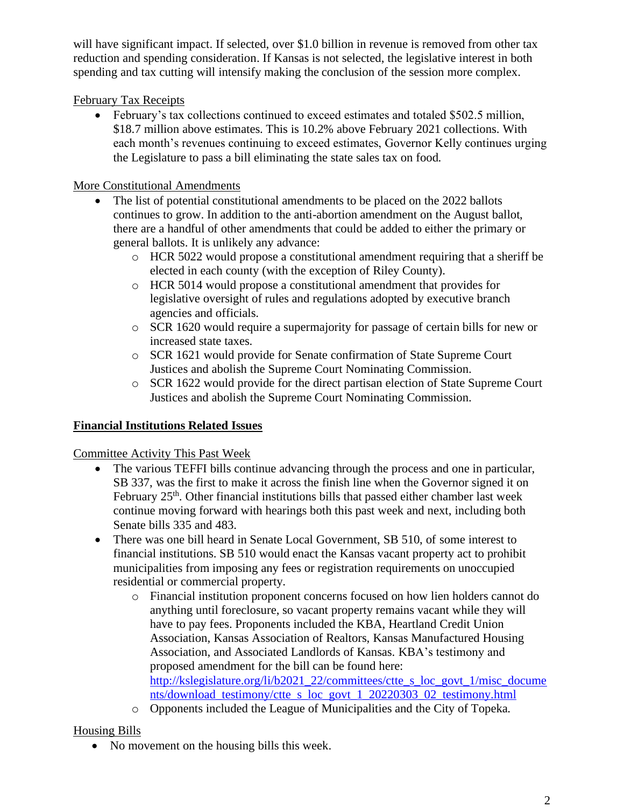will have significant impact. If selected, over \$1.0 billion in revenue is removed from other tax reduction and spending consideration. If Kansas is not selected, the legislative interest in both spending and tax cutting will intensify making the conclusion of the session more complex.

# February Tax Receipts

• February's tax collections continued to exceed estimates and totaled \$502.5 million, \$18.7 million above estimates. This is 10.2% above February 2021 collections. With each month's revenues continuing to exceed estimates, Governor Kelly continues urging the Legislature to pass a bill eliminating the state sales tax on food.

# More Constitutional Amendments

- The list of potential constitutional amendments to be placed on the 2022 ballots continues to grow. In addition to the anti-abortion amendment on the August ballot, there are a handful of other amendments that could be added to either the primary or general ballots. It is unlikely any advance:
	- o HCR 5022 would propose a constitutional amendment requiring that a sheriff be elected in each county (with the exception of Riley County).
	- o HCR 5014 would propose a constitutional amendment that provides for legislative oversight of rules and regulations adopted by executive branch agencies and officials.
	- o SCR 1620 would require a supermajority for passage of certain bills for new or increased state taxes.
	- o SCR 1621 would provide for Senate confirmation of State Supreme Court Justices and abolish the Supreme Court Nominating Commission.
	- o SCR 1622 would provide for the direct partisan election of State Supreme Court Justices and abolish the Supreme Court Nominating Commission.

# **Financial Institutions Related Issues**

## Committee Activity This Past Week

- The various TEFFI bills continue advancing through the process and one in particular, SB 337, was the first to make it across the finish line when the Governor signed it on February  $25<sup>th</sup>$ . Other financial institutions bills that passed either chamber last week continue moving forward with hearings both this past week and next, including both Senate bills 335 and 483.
- There was one bill heard in Senate Local Government, SB 510, of some interest to financial institutions. SB 510 would enact the Kansas vacant property act to prohibit municipalities from imposing any fees or registration requirements on unoccupied residential or commercial property.
	- o Financial institution proponent concerns focused on how lien holders cannot do anything until foreclosure, so vacant property remains vacant while they will have to pay fees. Proponents included the KBA, Heartland Credit Union Association, Kansas Association of Realtors, Kansas Manufactured Housing Association, and Associated Landlords of Kansas. KBA's testimony and proposed amendment for the bill can be found here: [http://kslegislature.org/li/b2021\\_22/committees/ctte\\_s\\_loc\\_govt\\_1/misc\\_docume](http://kslegislature.org/li/b2021_22/committees/ctte_s_loc_govt_1/misc_documents/download_testimony/ctte_s_loc_govt_1_20220303_02_testimony.html) [nts/download\\_testimony/ctte\\_s\\_loc\\_govt\\_1\\_20220303\\_02\\_testimony.html](http://kslegislature.org/li/b2021_22/committees/ctte_s_loc_govt_1/misc_documents/download_testimony/ctte_s_loc_govt_1_20220303_02_testimony.html)
	- o Opponents included the League of Municipalities and the City of Topeka.

# Housing Bills

• No movement on the housing bills this week.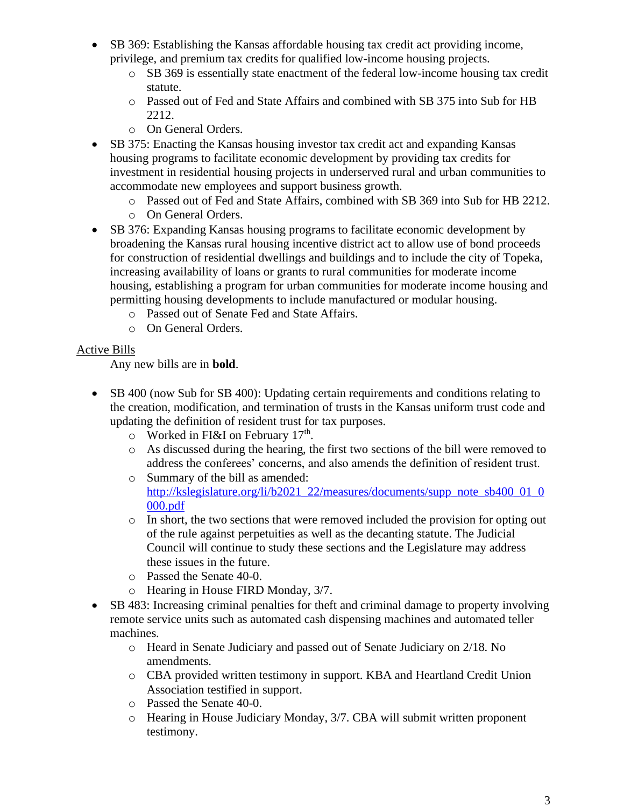- SB 369: Establishing the Kansas affordable housing tax credit act providing income, privilege, and premium tax credits for qualified low-income housing projects.
	- o SB 369 is essentially state enactment of the federal low-income housing tax credit statute.
	- o Passed out of Fed and State Affairs and combined with SB 375 into Sub for HB 2212.
	- o On General Orders.
- SB 375: Enacting the Kansas housing investor tax credit act and expanding Kansas housing programs to facilitate economic development by providing tax credits for investment in residential housing projects in underserved rural and urban communities to accommodate new employees and support business growth.
	- o Passed out of Fed and State Affairs, combined with SB 369 into Sub for HB 2212.
	- o On General Orders.
- SB 376: Expanding Kansas housing programs to facilitate economic development by broadening the Kansas rural housing incentive district act to allow use of bond proceeds for construction of residential dwellings and buildings and to include the city of Topeka, increasing availability of loans or grants to rural communities for moderate income housing, establishing a program for urban communities for moderate income housing and permitting housing developments to include manufactured or modular housing.
	- o Passed out of Senate Fed and State Affairs.
	- o On General Orders.

### Active Bills

Any new bills are in **bold**.

- SB 400 (now Sub for SB 400): Updating certain requirements and conditions relating to the creation, modification, and termination of trusts in the Kansas uniform trust code and updating the definition of resident trust for tax purposes.
	- $\circ$  Worked in FI&I on February 17<sup>th</sup>.
	- o As discussed during the hearing, the first two sections of the bill were removed to address the conferees' concerns, and also amends the definition of resident trust.
	- o Summary of the bill as amended: [http://kslegislature.org/li/b2021\\_22/measures/documents/supp\\_note\\_sb400\\_01\\_0](http://kslegislature.org/li/b2021_22/measures/documents/supp_note_sb400_01_0000.pdf) [000.pdf](http://kslegislature.org/li/b2021_22/measures/documents/supp_note_sb400_01_0000.pdf)
	- $\circ$  In short, the two sections that were removed included the provision for opting out of the rule against perpetuities as well as the decanting statute. The Judicial Council will continue to study these sections and the Legislature may address these issues in the future.
	- o Passed the Senate 40-0.
	- o Hearing in House FIRD Monday, 3/7.
- SB 483: Increasing criminal penalties for theft and criminal damage to property involving remote service units such as automated cash dispensing machines and automated teller machines.
	- o Heard in Senate Judiciary and passed out of Senate Judiciary on 2/18. No amendments.
	- o CBA provided written testimony in support. KBA and Heartland Credit Union Association testified in support.
	- o Passed the Senate 40-0.
	- o Hearing in House Judiciary Monday, 3/7. CBA will submit written proponent testimony.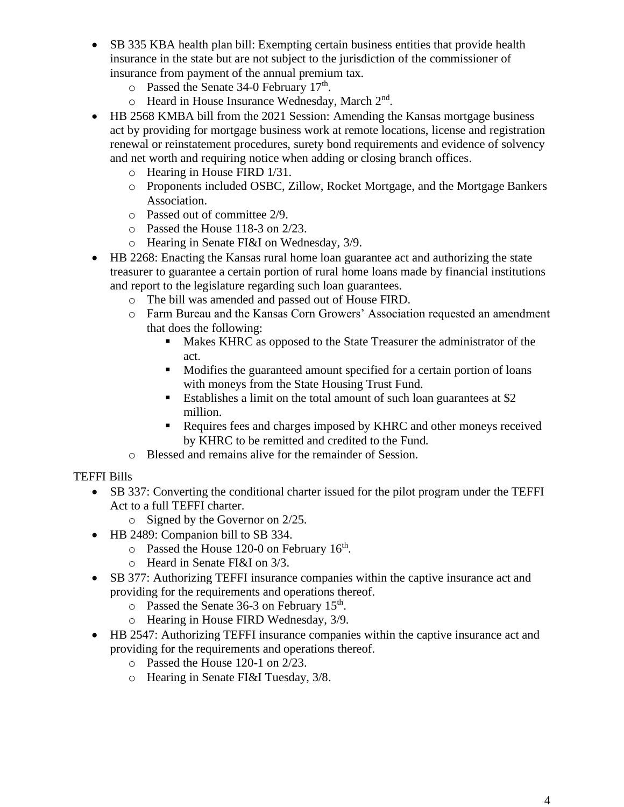- SB 335 KBA health plan bill: Exempting certain business entities that provide health insurance in the state but are not subject to the jurisdiction of the commissioner of insurance from payment of the annual premium tax.
	- o Passed the Senate 34-0 February 17<sup>th</sup>.
	- o Heard in House Insurance Wednesday, March 2<sup>nd</sup>.
- HB 2568 KMBA bill from the 2021 Session: Amending the Kansas mortgage business act by providing for mortgage business work at remote locations, license and registration renewal or reinstatement procedures, surety bond requirements and evidence of solvency and net worth and requiring notice when adding or closing branch offices.
	- o Hearing in House FIRD 1/31.
	- o Proponents included OSBC, Zillow, Rocket Mortgage, and the Mortgage Bankers Association.
	- o Passed out of committee 2/9.
	- o Passed the House 118-3 on 2/23.
	- o Hearing in Senate FI&I on Wednesday, 3/9.
- HB 2268: Enacting the Kansas rural home loan guarantee act and authorizing the state treasurer to guarantee a certain portion of rural home loans made by financial institutions and report to the legislature regarding such loan guarantees.
	- o The bill was amended and passed out of House FIRD.
	- o Farm Bureau and the Kansas Corn Growers' Association requested an amendment that does the following:
		- Makes KHRC as opposed to the State Treasurer the administrator of the act.
		- Modifies the guaranteed amount specified for a certain portion of loans with moneys from the State Housing Trust Fund.
		- Establishes a limit on the total amount of such loan guarantees at \$2 million.
		- Requires fees and charges imposed by KHRC and other moneys received by KHRC to be remitted and credited to the Fund.
	- o Blessed and remains alive for the remainder of Session.

## TEFFI Bills

- SB 337: Converting the conditional charter issued for the pilot program under the TEFFI Act to a full TEFFI charter.
	- o Signed by the Governor on 2/25.
- HB 2489: Companion bill to SB 334.
	- $\circ$  Passed the House 120-0 on February 16<sup>th</sup>.
	- o Heard in Senate FI&I on 3/3.
- SB 377: Authorizing TEFFI insurance companies within the captive insurance act and providing for the requirements and operations thereof.
	- $\circ$  Passed the Senate 36-3 on February 15<sup>th</sup>.
	- o Hearing in House FIRD Wednesday, 3/9.
- HB 2547: Authorizing TEFFI insurance companies within the captive insurance act and providing for the requirements and operations thereof.
	- o Passed the House 120-1 on 2/23.
	- o Hearing in Senate FI&I Tuesday, 3/8.